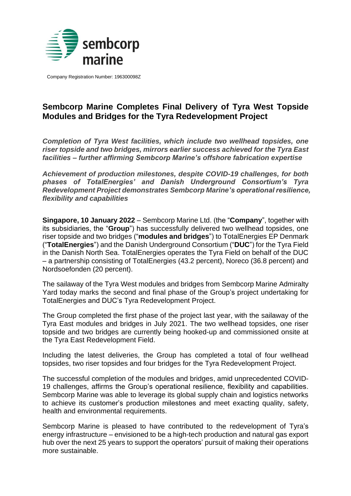

Company Registration Number: 196300098Z

## **Sembcorp Marine Completes Final Delivery of Tyra West Topside Modules and Bridges for the Tyra Redevelopment Project**

*Completion of Tyra West facilities, which include two wellhead topsides, one riser topside and two bridges, mirrors earlier success achieved for the Tyra East facilities – further affirming Sembcorp Marine's offshore fabrication expertise* 

*Achievement of production milestones, despite COVID-19 challenges, for both phases of TotalEnergies' and Danish Underground Consortium's Tyra Redevelopment Project demonstrates Sembcorp Marine's operational resilience, flexibility and capabilities*

**Singapore, 10 January 2022** – Sembcorp Marine Ltd. (the "**Company**", together with its subsidiaries, the "**Group**") has successfully delivered two wellhead topsides, one riser topside and two bridges ("**modules and bridges**") to TotalEnergies EP Denmark ("**TotalEnergies**") and the Danish Underground Consortium ("**DUC**") for the Tyra Field in the Danish North Sea. TotalEnergies operates the Tyra Field on behalf of the DUC – a partnership consisting of TotalEnergies (43.2 percent), Noreco (36.8 percent) and Nordsoefonden (20 percent).

The sailaway of the Tyra West modules and bridges from Sembcorp Marine Admiralty Yard today marks the second and final phase of the Group's project undertaking for TotalEnergies and DUC's Tyra Redevelopment Project.

The Group completed the first phase of the project last year, with the sailaway of the Tyra East modules and bridges in July 2021. The two wellhead topsides, one riser topside and two bridges are currently being hooked-up and commissioned onsite at the Tyra East Redevelopment Field.

Including the latest deliveries, the Group has completed a total of four wellhead topsides, two riser topsides and four bridges for the Tyra Redevelopment Project.

The successful completion of the modules and bridges, amid unprecedented COVID-19 challenges, affirms the Group's operational resilience, flexibility and capabilities. Sembcorp Marine was able to leverage its global supply chain and logistics networks to achieve its customer's production milestones and meet exacting quality, safety, health and environmental requirements.

Sembcorp Marine is pleased to have contributed to the redevelopment of Tyra's energy infrastructure – envisioned to be a high-tech production and natural gas export hub over the next 25 years to support the operators' pursuit of making their operations more sustainable.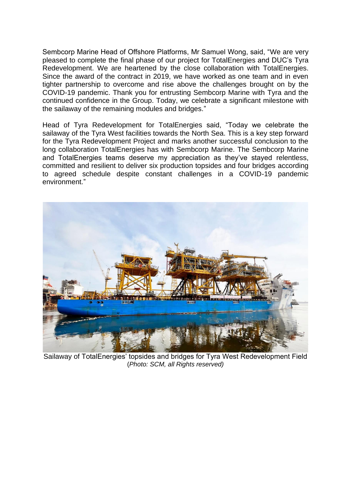Sembcorp Marine Head of Offshore Platforms, Mr Samuel Wong, said, "We are very pleased to complete the final phase of our project for TotalEnergies and DUC's Tyra Redevelopment. We are heartened by the close collaboration with TotalEnergies. Since the award of the contract in 2019, we have worked as one team and in even tighter partnership to overcome and rise above the challenges brought on by the COVID-19 pandemic. Thank you for entrusting Sembcorp Marine with Tyra and the continued confidence in the Group. Today, we celebrate a significant milestone with the sailaway of the remaining modules and bridges."

Head of Tyra Redevelopment for TotalEnergies said, "Today we celebrate the sailaway of the Tyra West facilities towards the North Sea. This is a key step forward for the Tyra Redevelopment Project and marks another successful conclusion to the long collaboration TotalEnergies has with Sembcorp Marine. The Sembcorp Marine and TotalEnergies teams deserve my appreciation as they've stayed relentless, committed and resilient to deliver six production topsides and four bridges according to agreed schedule despite constant challenges in a COVID-19 pandemic environment."



Sailaway of TotalEnergies' topsides and bridges for Tyra West Redevelopment Field (*Photo: SCM, all Rights reserved)*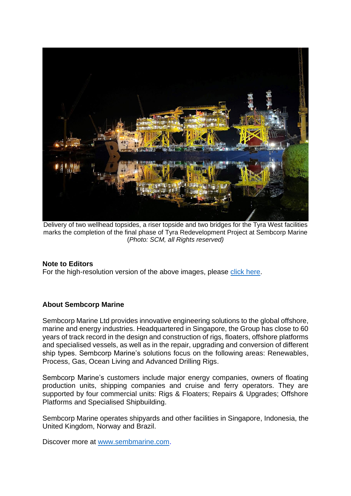

Delivery of two wellhead topsides, a riser topside and two bridges for the Tyra West facilities marks the completion of the final phase of Tyra Redevelopment Project at Sembcorp Marine (*Photo: SCM, all Rights reserved)*

## **Note to Editors**

For the high-resolution version of the above images, please [click here.](https://drive.google.com/drive/folders/1gkLkhOj961jC-7-b8zWvHP_Ht50o3wiO?usp=sharing)

## **About Sembcorp Marine**

Sembcorp Marine Ltd provides innovative engineering solutions to the global offshore, marine and energy industries. Headquartered in Singapore, the Group has close to 60 years of track record in the design and construction of rigs, floaters, offshore platforms and specialised vessels, as well as in the repair, upgrading and conversion of different ship types. Sembcorp Marine's solutions focus on the following areas: Renewables, Process, Gas, Ocean Living and Advanced Drilling Rigs.

Sembcorp Marine's customers include major energy companies, owners of floating production units, shipping companies and cruise and ferry operators. They are supported by four commercial units: Rigs & Floaters; Repairs & Upgrades; Offshore Platforms and Specialised Shipbuilding.

Sembcorp Marine operates shipyards and other facilities in Singapore, Indonesia, the United Kingdom, Norway and Brazil.

Discover more at [www.sembmarine.com.](http://www.sembmarine.com/)